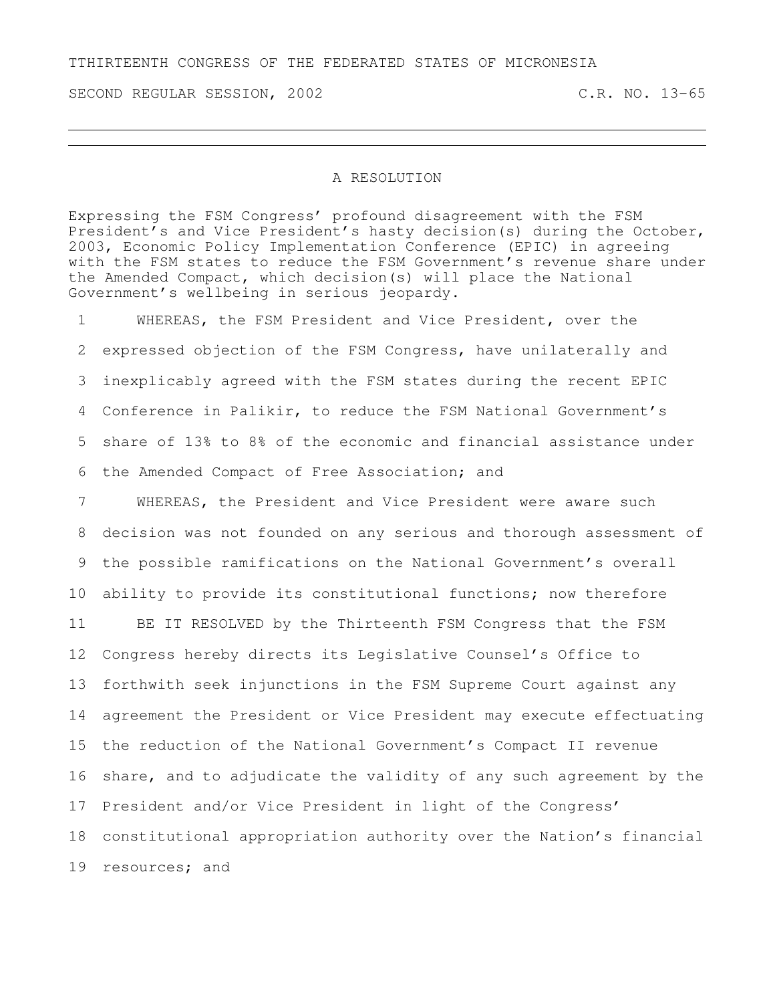TTHIRTEENTH CONGRESS OF THE FEDERATED STATES OF MICRONESIA

SECOND REGULAR SESSION, 2002 C.R. NO. 13-65

## A RESOLUTION

Expressing the FSM Congress' profound disagreement with the FSM President's and Vice President's hasty decision(s) during the October, 2003, Economic Policy Implementation Conference (EPIC) in agreeing with the FSM states to reduce the FSM Government's revenue share under the Amended Compact, which decision(s) will place the National Government's wellbeing in serious jeopardy.

 WHEREAS, the FSM President and Vice President, over the expressed objection of the FSM Congress, have unilaterally and inexplicably agreed with the FSM states during the recent EPIC Conference in Palikir, to reduce the FSM National Government's share of 13% to 8% of the economic and financial assistance under the Amended Compact of Free Association; and

 WHEREAS, the President and Vice President were aware such decision was not founded on any serious and thorough assessment of the possible ramifications on the National Government's overall ability to provide its constitutional functions; now therefore BE IT RESOLVED by the Thirteenth FSM Congress that the FSM Congress hereby directs its Legislative Counsel's Office to forthwith seek injunctions in the FSM Supreme Court against any agreement the President or Vice President may execute effectuating the reduction of the National Government's Compact II revenue 16 share, and to adjudicate the validity of any such agreement by the President and/or Vice President in light of the Congress' constitutional appropriation authority over the Nation's financial resources; and